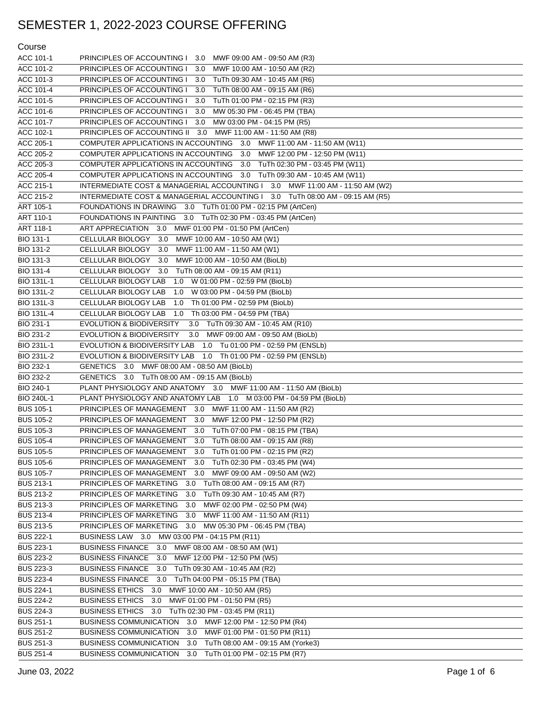### Course

| ACC 101-1         | PRINCIPLES OF ACCOUNTING I 3.0<br>MWF 09:00 AM - 09:50 AM (R3)                |
|-------------------|-------------------------------------------------------------------------------|
| ACC 101-2         | PRINCIPLES OF ACCOUNTING I<br>3.0<br>MWF 10:00 AM - 10:50 AM (R2)             |
| ACC 101-3         | PRINCIPLES OF ACCOUNTING I<br>3.0<br>TuTh 09:30 AM - 10:45 AM (R6)            |
| ACC 101-4         | PRINCIPLES OF ACCOUNTING I<br>3.0<br>TuTh 08:00 AM - 09:15 AM (R6)            |
| ACC 101-5         | PRINCIPLES OF ACCOUNTING I<br>3.0<br>TuTh 01:00 PM - 02:15 PM (R3)            |
| ACC 101-6         | PRINCIPLES OF ACCOUNTING I<br>3.0<br>MW 05:30 PM - 06:45 PM (TBA)             |
| ACC 101-7         | PRINCIPLES OF ACCOUNTING I 3.0<br>MW 03:00 PM - 04:15 PM (R5)                 |
| ACC 102-1         | PRINCIPLES OF ACCOUNTING II 3.0 MWF 11:00 AM - 11:50 AM (R8)                  |
| ACC 205-1         | COMPUTER APPLICATIONS IN ACCOUNTING 3.0 MWF 11:00 AM - 11:50 AM (W11)         |
| ACC 205-2         | MWF 12:00 PM - 12:50 PM (W11)<br>COMPUTER APPLICATIONS IN ACCOUNTING<br>3.0   |
| ACC 205-3         | 3.0 TuTh 02:30 PM - 03:45 PM (W11)<br>COMPUTER APPLICATIONS IN ACCOUNTING     |
| ACC 205-4         | COMPUTER APPLICATIONS IN ACCOUNTING 3.0 TuTh 09:30 AM - 10:45 AM (W11)        |
| ACC 215-1         | INTERMEDIATE COST & MANAGERIAL ACCOUNTING I 3.0 MWF 11:00 AM - 11:50 AM (W2)  |
| ACC 215-2         | INTERMEDIATE COST & MANAGERIAL ACCOUNTING I 3.0 TuTh 08:00 AM - 09:15 AM (R5) |
| ART 105-1         | FOUNDATIONS IN DRAWING 3.0 TuTh 01:00 PM - 02:15 PM (ArtCen)                  |
| ART 110-1         | FOUNDATIONS IN PAINTING 3.0 TuTh 02:30 PM - 03:45 PM (ArtCen)                 |
| ART 118-1         | ART APPRECIATION 3.0 MWF 01:00 PM - 01:50 PM (ArtCen)                         |
| BIO 131-1         | MWF 10:00 AM - 10:50 AM (W1)<br>CELLULAR BIOLOGY<br>3.0                       |
| BIO 131-2         | CELLULAR BIOLOGY<br>3.0<br>MWF 11:00 AM - 11:50 AM (W1)                       |
| BIO 131-3         | CELLULAR BIOLOGY<br>3.0<br>MWF 10:00 AM - 10:50 AM (BioLb)                    |
| BIO 131-4         | CELLULAR BIOLOGY<br>3.0<br>TuTh 08:00 AM - 09:15 AM (R11)                     |
| BIO 131L-1        | CELLULAR BIOLOGY LAB<br>1.0 W 01:00 PM - 02:59 PM (BioLb)                     |
| BIO 131L-2        | CELLULAR BIOLOGY LAB<br>1.0<br>W 03:00 PM - 04:59 PM (BioLb)                  |
| BIO 131L-3        | CELLULAR BIOLOGY LAB<br>1.0<br>Th 01:00 PM - 02:59 PM (BioLb)                 |
| <b>BIO 131L-4</b> | 1.0 Th 03:00 PM - 04:59 PM (TBA)<br>CELLULAR BIOLOGY LAB                      |
| BIO 231-1         | <b>EVOLUTION &amp; BIODIVERSITY</b><br>3.0<br>TuTh 09:30 AM - 10:45 AM (R10)  |
| BIO 231-2         | <b>EVOLUTION &amp; BIODIVERSITY</b><br>3.0<br>MWF 09:00 AM - 09:50 AM (BioLb) |
| BIO 231L-1        | EVOLUTION & BIODIVERSITY LAB 1.0 Tu 01:00 PM - 02:59 PM (ENSLb)               |
| BIO 231L-2        | EVOLUTION & BIODIVERSITY LAB 1.0 Th 01:00 PM - 02:59 PM (ENSLb)               |
| BIO 232-1         | <b>GENETICS</b><br>3.0 MWF 08:00 AM - 08:50 AM (BioLb)                        |
| BIO 232-2         | GENETICS 3.0 TuTh 08:00 AM - 09:15 AM (BioLb)                                 |
| BIO 240-1         | PLANT PHYSIOLOGY AND ANATOMY 3.0 MWF 11:00 AM - 11:50 AM (BioLb)              |
| BIO 240L-1        | PLANT PHYSIOLOGY AND ANATOMY LAB 1.0 M 03:00 PM - 04:59 PM (BioLb)            |
| <b>BUS 105-1</b>  | PRINCIPLES OF MANAGEMENT 3.0 MWF 11:00 AM - 11:50 AM (R2)                     |
| <b>BUS 105-2</b>  | MWF 12:00 PM - 12:50 PM (R2)<br>PRINCIPLES OF MANAGEMENT<br>3.0               |
| <b>BUS 105-3</b>  | PRINCIPLES OF MANAGEMENT<br>3.0<br>TuTh 07:00 PM - 08:15 PM (TBA)             |
| <b>BUS 105-4</b>  | PRINCIPLES OF MANAGEMENT<br>3.0 TuTh 08:00 AM - 09:15 AM (R8)                 |
| <b>BUS 105-5</b>  | PRINCIPLES OF MANAGEMENT<br>3.0<br>TuTh 01:00 PM - 02:15 PM (R2)              |
| <b>BUS 105-6</b>  | PRINCIPLES OF MANAGEMENT<br>TuTh 02:30 PM - 03:45 PM (W4)<br>3.0              |
| <b>BUS 105-7</b>  | PRINCIPLES OF MANAGEMENT<br>3.0 MWF 09:00 AM - 09:50 AM (W2)                  |
| <b>BUS 213-1</b>  | PRINCIPLES OF MARKETING<br>TuTh 08:00 AM - 09:15 AM (R7)<br>3.0               |
| <b>BUS 213-2</b>  | PRINCIPLES OF MARKETING<br>TuTh 09:30 AM - 10:45 AM (R7)<br>3.0               |
| <b>BUS 213-3</b>  | PRINCIPLES OF MARKETING<br>MWF 02:00 PM - 02:50 PM (W4)<br>3.0                |
| <b>BUS 213-4</b>  | PRINCIPLES OF MARKETING<br>MWF 11:00 AM - 11:50 AM (R11)<br>3.0               |
| <b>BUS 213-5</b>  | PRINCIPLES OF MARKETING<br>MW 05:30 PM - 06:45 PM (TBA)<br>3.0                |
| <b>BUS 222-1</b>  | BUSINESS LAW 3.0 MW 03:00 PM - 04:15 PM (R11)                                 |
| <b>BUS 223-1</b>  | BUSINESS FINANCE 3.0<br>MWF 08:00 AM - 08:50 AM (W1)                          |
| <b>BUS 223-2</b>  | BUSINESS FINANCE 3.0<br>MWF 12:00 PM - 12:50 PM (W5)                          |
| <b>BUS 223-3</b>  | BUSINESS FINANCE 3.0<br>TuTh 09:30 AM - 10:45 AM (R2)                         |
| <b>BUS 223-4</b>  | BUSINESS FINANCE 3.0<br>TuTh 04:00 PM - 05:15 PM (TBA)                        |
| <b>BUS 224-1</b>  | BUSINESS ETHICS 3.0<br>MWF 10:00 AM - 10:50 AM (R5)                           |
| <b>BUS 224-2</b>  | BUSINESS ETHICS 3.0<br>MWF 01:00 PM - 01:50 PM (R5)                           |
| <b>BUS 224-3</b>  | BUSINESS ETHICS 3.0<br>TuTh 02:30 PM - 03:45 PM (R11)                         |
| <b>BUS 251-1</b>  | <b>BUSINESS COMMUNICATION</b><br>3.0<br>MWF 12:00 PM - 12:50 PM (R4)          |
| <b>BUS 251-2</b>  | MWF 01:00 PM - 01:50 PM (R11)<br><b>BUSINESS COMMUNICATION</b><br>3.0         |
| <b>BUS 251-3</b>  | <b>BUSINESS COMMUNICATION</b><br>TuTh 08:00 AM - 09:15 AM (Yorke3)<br>3.0     |
| <b>BUS 251-4</b>  | TuTh 01:00 PM - 02:15 PM (R7)<br><b>BUSINESS COMMUNICATION</b><br>3.0         |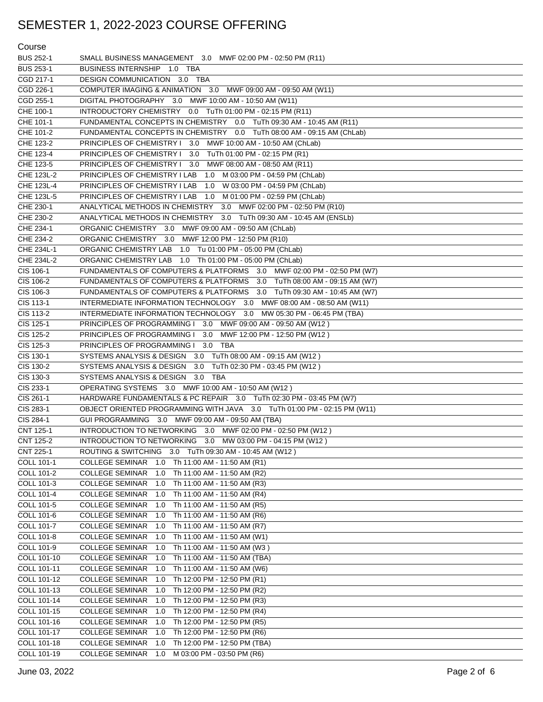| Course           |                                                                          |
|------------------|--------------------------------------------------------------------------|
| <b>BUS 252-1</b> | SMALL BUSINESS MANAGEMENT 3.0 MWF 02:00 PM - 02:50 PM (R11)              |
| <b>BUS 253-1</b> | BUSINESS INTERNSHIP 1.0 TBA                                              |
| CGD 217-1        | DESIGN COMMUNICATION 3.0 TBA                                             |
| CGD 226-1        | COMPUTER IMAGING & ANIMATION 3.0 MWF 09:00 AM - 09:50 AM (W11)           |
| CGD 255-1        | DIGITAL PHOTOGRAPHY 3.0 MWF 10:00 AM - 10:50 AM (W11)                    |
| CHE 100-1        | INTRODUCTORY CHEMISTRY 0.0 TuTh 01:00 PM - 02:15 PM (R11)                |
| CHE 101-1        | FUNDAMENTAL CONCEPTS IN CHEMISTRY 0.0 TuTh 09:30 AM - 10:45 AM (R11)     |
| CHE 101-2        | FUNDAMENTAL CONCEPTS IN CHEMISTRY 0.0 TuTh 08:00 AM - 09:15 AM (ChLab)   |
| CHE 123-2        | PRINCIPLES OF CHEMISTRY I 3.0 MWF 10:00 AM - 10:50 AM (ChLab)            |
| CHE 123-4        | PRINCIPLES OF CHEMISTRY I 3.0 TuTh 01:00 PM - 02:15 PM (R1)              |
| CHE 123-5        | PRINCIPLES OF CHEMISTRY I 3.0 MWF 08:00 AM - 08:50 AM (R11)              |
| CHE 123L-2       | PRINCIPLES OF CHEMISTRY I LAB<br>1.0 M 03:00 PM - 04:59 PM (ChLab)       |
| CHE 123L-4       | PRINCIPLES OF CHEMISTRY I LAB<br>1.0 W 03:00 PM - 04:59 PM (ChLab)       |
| CHE 123L-5       | PRINCIPLES OF CHEMISTRY I LAB<br>1.0 M 01:00 PM - 02:59 PM (ChLab)       |
| CHE 230-1        | ANALYTICAL METHODS IN CHEMISTRY 3.0 MWF 02:00 PM - 02:50 PM (R10)        |
| CHE 230-2        | ANALYTICAL METHODS IN CHEMISTRY 3.0 TuTh 09:30 AM - 10:45 AM (ENSLb)     |
| CHE 234-1        | ORGANIC CHEMISTRY 3.0 MWF 09:00 AM - 09:50 AM (ChLab)                    |
| CHE 234-2        | ORGANIC CHEMISTRY 3.0 MWF 12:00 PM - 12:50 PM (R10)                      |
| CHE 234L-1       | ORGANIC CHEMISTRY LAB 1.0 Tu 01:00 PM - 05:00 PM (ChLab)                 |
| CHE 234L-2       | ORGANIC CHEMISTRY LAB 1.0 Th 01:00 PM - 05:00 PM (ChLab)                 |
| CIS 106-1        | FUNDAMENTALS OF COMPUTERS & PLATFORMS 3.0 MWF 02:00 PM - 02:50 PM (W7)   |
| CIS 106-2        | FUNDAMENTALS OF COMPUTERS & PLATFORMS 3.0 TuTh 08:00 AM - 09:15 AM (W7)  |
| CIS 106-3        | FUNDAMENTALS OF COMPUTERS & PLATFORMS 3.0 TuTh 09:30 AM - 10:45 AM (W7)  |
| CIS 113-1        | INTERMEDIATE INFORMATION TECHNOLOGY 3.0 MWF 08:00 AM - 08:50 AM (W11)    |
| CIS 113-2        | INTERMEDIATE INFORMATION TECHNOLOGY 3.0 MW 05:30 PM - 06:45 PM (TBA)     |
| CIS 125-1        | PRINCIPLES OF PROGRAMMING I 3.0 MWF 09:00 AM - 09:50 AM (W12)            |
| CIS 125-2        | PRINCIPLES OF PROGRAMMING I 3.0 MWF 12:00 PM - 12:50 PM (W12)            |
| CIS 125-3        | PRINCIPLES OF PROGRAMMING I 3.0 TBA                                      |
| CIS 130-1        | SYSTEMS ANALYSIS & DESIGN 3.0 TuTh 08:00 AM - 09:15 AM (W12)             |
| CIS 130-2        | SYSTEMS ANALYSIS & DESIGN 3.0<br>TuTh 02:30 PM - 03:45 PM (W12)          |
| CIS 130-3        | SYSTEMS ANALYSIS & DESIGN 3.0 TBA                                        |
| CIS 233-1        | OPERATING SYSTEMS 3.0 MWF 10:00 AM - 10:50 AM (W12)                      |
| CIS 261-1        | HARDWARE FUNDAMENTALS & PC REPAIR 3.0 TuTh 02:30 PM - 03:45 PM (W7)      |
| CIS 283-1        | OBJECT ORIENTED PROGRAMMING WITH JAVA 3.0 TuTh 01:00 PM - 02:15 PM (W11) |
| CIS 284-1        | GUI PROGRAMMING 3.0 MWF 09:00 AM - 09:50 AM (TBA)                        |
| CNT 125-1        | INTRODUCTION TO NETWORKING 3.0 MWF 02:00 PM - 02:50 PM (W12)             |
| CNT 125-2        | INTRODUCTION TO NETWORKING 3.0 MW 03:00 PM - 04:15 PM (W12)              |
| CNT 225-1        | ROUTING & SWITCHING 3.0 TuTh 09:30 AM - 10:45 AM (W12)                   |
| COLL 101-1       | COLLEGE SEMINAR 1.0 Th 11:00 AM - 11:50 AM (R1)                          |
| COLL 101-2       | <b>COLLEGE SEMINAR</b><br>Th 11:00 AM - 11:50 AM (R2)<br>1.0             |
| COLL 101-3       | <b>COLLEGE SEMINAR</b><br>Th 11:00 AM - 11:50 AM (R3)<br>1.0             |
| COLL 101-4       | COLLEGE SEMINAR 1.0<br>Th 11:00 AM - 11:50 AM (R4)                       |
| COLL 101-5       | <b>COLLEGE SEMINAR</b><br>Th 11:00 AM - 11:50 AM (R5)<br>1.0             |
| COLL 101-6       | <b>COLLEGE SEMINAR</b><br>Th 11:00 AM - 11:50 AM (R6)<br>1.0             |
| COLL 101-7       | Th 11:00 AM - 11:50 AM (R7)<br><b>COLLEGE SEMINAR</b><br>1.0             |
| COLL 101-8       | <b>COLLEGE SEMINAR</b><br>Th 11:00 AM - 11:50 AM (W1)<br>1.0             |
| COLL 101-9       | <b>COLLEGE SEMINAR</b><br>Th 11:00 AM - 11:50 AM (W3)<br>1.0             |
| COLL 101-10      | Th 11:00 AM - 11:50 AM (TBA)<br><b>COLLEGE SEMINAR</b><br>1.0            |
| COLL 101-11      | <b>COLLEGE SEMINAR</b><br>Th 11:00 AM - 11:50 AM (W6)<br>1.0             |
| COLL 101-12      | Th 12:00 PM - 12:50 PM (R1)<br><b>COLLEGE SEMINAR</b><br>1.0             |
| COLL 101-13      | <b>COLLEGE SEMINAR</b><br>Th 12:00 PM - 12:50 PM (R2)<br>1.0             |
| COLL 101-14      | Th 12:00 PM - 12:50 PM (R3)<br><b>COLLEGE SEMINAR</b><br>1.0             |
| COLL 101-15      | Th 12:00 PM - 12:50 PM (R4)<br><b>COLLEGE SEMINAR</b><br>1.0             |
| COLL 101-16      |                                                                          |
|                  | Th 12:00 PM - 12:50 PM (R5)<br><b>COLLEGE SEMINAR</b><br>1.0             |
| COLL 101-17      | Th 12:00 PM - 12:50 PM (R6)<br><b>COLLEGE SEMINAR</b><br>1.0             |
| COLL 101-18      | <b>COLLEGE SEMINAR</b><br>Th 12:00 PM - 12:50 PM (TBA)<br>1.0            |
| COLL 101-19      | M 03:00 PM - 03:50 PM (R6)<br>COLLEGE SEMINAR 1.0                        |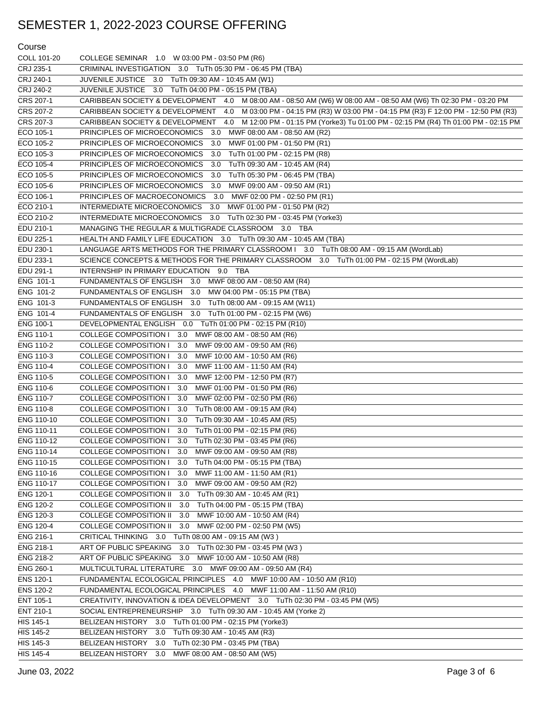### Course

| COLL 101-20            | COLLEGE SEMINAR 1.0 W 03:00 PM - 03:50 PM (R6)                                                                           |
|------------------------|--------------------------------------------------------------------------------------------------------------------------|
| CRJ 235-1              | CRIMINAL INVESTIGATION 3.0 TuTh 05:30 PM - 06:45 PM (TBA)                                                                |
| CRJ 240-1              | JUVENILE JUSTICE 3.0 TuTh 09:30 AM - 10:45 AM (W1)                                                                       |
| CRJ 240-2              | JUVENILE JUSTICE 3.0 TuTh 04:00 PM - 05:15 PM (TBA)                                                                      |
| CRS 207-1              | CARIBBEAN SOCIETY & DEVELOPMENT 4.0 M 08:00 AM - 08:50 AM (W6) W 08:00 AM - 08:50 AM (W6) Th 02:30 PM - 03:20 PM         |
| CRS 207-2              | CARIBBEAN SOCIETY & DEVELOPMENT 4.0 M 03:00 PM - 04:15 PM (R3) W 03:00 PM - 04:15 PM (R3) F 12:00 PM - 12:50 PM (R3)     |
| CRS 207-3              | CARIBBEAN SOCIETY & DEVELOPMENT<br>4.0 M 12:00 PM - 01:15 PM (Yorke3) Tu 01:00 PM - 02:15 PM (R4) Th 01:00 PM - 02:15 PM |
| ECO 105-1              | PRINCIPLES OF MICROECONOMICS<br>3.0 MWF 08:00 AM - 08:50 AM (R2)                                                         |
| ECO 105-2              | PRINCIPLES OF MICROECONOMICS<br>3.0<br>MWF 01:00 PM - 01:50 PM (R1)                                                      |
| ECO 105-3              | PRINCIPLES OF MICROECONOMICS<br>3.0<br>TuTh 01:00 PM - 02:15 PM (R8)                                                     |
| ECO 105-4              | PRINCIPLES OF MICROECONOMICS<br>3.0<br>TuTh 09:30 AM - 10:45 AM (R4)                                                     |
| ECO 105-5              | PRINCIPLES OF MICROECONOMICS<br>3.0<br>TuTh 05:30 PM - 06:45 PM (TBA)                                                    |
| ECO 105-6              | PRINCIPLES OF MICROECONOMICS<br>3.0<br>MWF 09:00 AM - 09:50 AM (R1)                                                      |
| ECO 106-1              | PRINCIPLES OF MACROECONOMICS<br>3.0<br>MWF 02:00 PM - 02:50 PM (R1)                                                      |
| ECO 210-1              | INTERMEDIATE MICROECONOMICS<br>3.0<br>MWF 01:00 PM - 01:50 PM (R2)                                                       |
| ECO 210-2              | INTERMEDIATE MICROECONOMICS 3.0 TuTh 02:30 PM - 03:45 PM (Yorke3)                                                        |
| EDU 210-1              | MANAGING THE REGULAR & MULTIGRADE CLASSROOM 3.0 TBA                                                                      |
| EDU 225-1              | HEALTH AND FAMILY LIFE EDUCATION 3.0 TuTh 09:30 AM - 10:45 AM (TBA)                                                      |
| EDU 230-1              | LANGUAGE ARTS METHODS FOR THE PRIMARY CLASSROOM   3.0 TuTh 08:00 AM - 09:15 AM (WordLab)                                 |
| EDU 233-1              | SCIENCE CONCEPTS & METHODS FOR THE PRIMARY CLASSROOM 3.0 TuTh 01:00 PM - 02:15 PM (WordLab)                              |
| EDU 291-1              | INTERNSHIP IN PRIMARY EDUCATION 9.0 TBA                                                                                  |
| ENG 101-1              | FUNDAMENTALS OF ENGLISH 3.0 MWF 08:00 AM - 08:50 AM (R4)                                                                 |
| ENG 101-2              | FUNDAMENTALS OF ENGLISH<br>3.0 MW 04:00 PM - 05:15 PM (TBA)                                                              |
| ENG 101-3              | FUNDAMENTALS OF ENGLISH<br>3.0 TuTh 08:00 AM - 09:15 AM (W11)                                                            |
| ENG 101-4              | <b>FUNDAMENTALS OF ENGLISH</b><br>3.0 TuTh 01:00 PM - 02:15 PM (W6)                                                      |
| ENG 100-1              | DEVELOPMENTAL ENGLISH 0.0 TuTh 01:00 PM - 02:15 PM (R10)                                                                 |
| <b>ENG 110-1</b>       | <b>COLLEGE COMPOSITION I</b><br>3.0<br>MWF 08:00 AM - 08:50 AM (R6)                                                      |
| <b>ENG 110-2</b>       | <b>COLLEGE COMPOSITION I</b><br>3.0<br>MWF 09:00 AM - 09:50 AM (R6)                                                      |
| ENG 110-3              | <b>COLLEGE COMPOSITION I</b><br>3.0<br>MWF 10:00 AM - 10:50 AM (R6)                                                      |
| <b>ENG 110-4</b>       | <b>COLLEGE COMPOSITION I</b><br>3.0<br>MWF 11:00 AM - 11:50 AM (R4)                                                      |
| ENG 110-5              | <b>COLLEGE COMPOSITION I</b><br>3.0<br>MWF 12:00 PM - 12:50 PM (R7)                                                      |
| ENG 110-6              | <b>COLLEGE COMPOSITION I</b><br>3.0<br>MWF 01:00 PM - 01:50 PM (R6)                                                      |
| <b>ENG 110-7</b>       | <b>COLLEGE COMPOSITION I</b><br>3.0<br>MWF 02:00 PM - 02:50 PM (R6)                                                      |
| ENG 110-8              | <b>COLLEGE COMPOSITION I</b><br>3.0<br>TuTh 08:00 AM - 09:15 AM (R4)                                                     |
| ENG 110-10             | <b>COLLEGE COMPOSITION I</b><br>3.0<br>TuTh 09:30 AM - 10:45 AM (R5)                                                     |
| ENG 110-11             | <b>COLLEGE COMPOSITION I</b><br>3.0<br>TuTh 01:00 PM - 02:15 PM (R6)                                                     |
| ENG 110-12             | <b>COLLEGE COMPOSITION I</b><br>3.0 TuTh 02:30 PM - 03:45 PM (R6)                                                        |
| ENG 110-14             | COLLEGE COMPOSITION I 3.0 MWF 09:00 AM - 09:50 AM (R8)                                                                   |
| ENG 110-15             | COLLEGE COMPOSITION I 3.0 TuTh 04:00 PM - 05:15 PM (TBA)                                                                 |
| ENG 110-16             | COLLEGE COMPOSITION I<br>3.0 MWF 11:00 AM - 11:50 AM (R1)                                                                |
| ENG 110-17             | COLLEGE COMPOSITION I<br>3.0 MWF 09:00 AM - 09:50 AM (R2)                                                                |
| ENG 120-1              | <b>COLLEGE COMPOSITION II</b><br>3.0 TuTh 09:30 AM - 10:45 AM (R1)                                                       |
| ENG 120-2<br>ENG 120-3 | <b>COLLEGE COMPOSITION II</b><br>3.0 TuTh 04:00 PM - 05:15 PM (TBA)<br><b>COLLEGE COMPOSITION II</b>                     |
| <b>ENG 120-4</b>       | 3.0 MWF 10:00 AM - 10:50 AM (R4)<br>COLLEGE COMPOSITION II<br>3.0 MWF 02:00 PM - 02:50 PM (W5)                           |
| ENG 216-1              |                                                                                                                          |
| ENG 218-1              | CRITICAL THINKING 3.0 TuTh 08:00 AM - 09:15 AM (W3)<br>ART OF PUBLIC SPEAKING 3.0 TuTh 02:30 PM - 03:45 PM (W3)          |
| ENG 218-2              | ART OF PUBLIC SPEAKING 3.0 MWF 10:00 AM - 10:50 AM (R8)                                                                  |
| ENG 260-1              | MULTICULTURAL LITERATURE 3.0 MWF 09:00 AM - 09:50 AM (R4)                                                                |
| <b>ENS 120-1</b>       | FUNDAMENTAL ECOLOGICAL PRINCIPLES 4.0 MWF 10:00 AM - 10:50 AM (R10)                                                      |
| <b>ENS 120-2</b>       | FUNDAMENTAL ECOLOGICAL PRINCIPLES 4.0 MWF 11:00 AM - 11:50 AM (R10)                                                      |
| ENT 105-1              | CREATIVITY, INNOVATION & IDEA DEVELOPMENT 3.0 TuTh 02:30 PM - 03:45 PM (W5)                                              |
| ENT 210-1              | SOCIAL ENTREPRENEURSHIP 3.0 TuTh 09:30 AM - 10:45 AM (Yorke 2)                                                           |
| HIS 145-1              | BELIZEAN HISTORY 3.0 TuTh 01:00 PM - 02:15 PM (Yorke3)                                                                   |
| <b>HIS 145-2</b>       | BELIZEAN HISTORY 3.0 TuTh 09:30 AM - 10:45 AM (R3)                                                                       |
| HIS 145-3              | BELIZEAN HISTORY 3.0 TuTh 02:30 PM - 03:45 PM (TBA)                                                                      |
| HIS 145-4              | BELIZEAN HISTORY 3.0 MWF 08:00 AM - 08:50 AM (W5)                                                                        |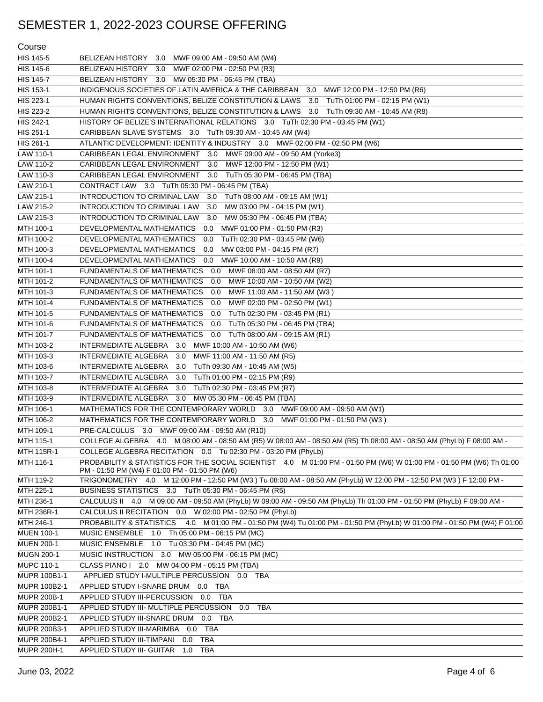| Course             |                                                                                                                                                                       |
|--------------------|-----------------------------------------------------------------------------------------------------------------------------------------------------------------------|
| HIS 145-5          | BELIZEAN HISTORY 3.0 MWF 09:00 AM - 09:50 AM (W4)                                                                                                                     |
| HIS 145-6          | BELIZEAN HISTORY 3.0 MWF 02:00 PM - 02:50 PM (R3)                                                                                                                     |
| <b>HIS 145-7</b>   | BELIZEAN HISTORY 3.0 MW 05:30 PM - 06:45 PM (TBA)                                                                                                                     |
| HIS 153-1          | INDIGENOUS SOCIETIES OF LATIN AMERICA & THE CARIBBEAN 3.0<br>MWF 12:00 PM - 12:50 PM (R6)                                                                             |
| HIS 223-1          | HUMAN RIGHTS CONVENTIONS, BELIZE CONSTITUTION & LAWS 3.0 TuTh 01:00 PM - 02:15 PM (W1)                                                                                |
| HIS 223-2          | HUMAN RIGHTS CONVENTIONS, BELIZE CONSTITUTION & LAWS 3.0 TuTh 09:30 AM - 10:45 AM (R8)                                                                                |
| HIS 242-1          | HISTORY OF BELIZE'S INTERNATIONAL RELATIONS 3.0 TuTh 02:30 PM - 03:45 PM (W1)                                                                                         |
| HIS 251-1          | CARIBBEAN SLAVE SYSTEMS 3.0 TuTh 09:30 AM - 10:45 AM (W4)                                                                                                             |
| HIS 261-1          | ATLANTIC DEVELOPMENT: IDENTITY & INDUSTRY 3.0 MWF 02:00 PM - 02:50 PM (W6)                                                                                            |
| LAW 110-1          | CARIBBEAN LEGAL ENVIRONMENT 3.0 MWF 09:00 AM - 09:50 AM (Yorke3)                                                                                                      |
| LAW 110-2          | CARIBBEAN LEGAL ENVIRONMENT 3.0 MWF 12:00 PM - 12:50 PM (W1)                                                                                                          |
| LAW 110-3          | CARIBBEAN LEGAL ENVIRONMENT 3.0 TuTh 05:30 PM - 06:45 PM (TBA)                                                                                                        |
| LAW 210-1          | CONTRACT LAW 3.0 TuTh 05:30 PM - 06:45 PM (TBA)                                                                                                                       |
| LAW 215-1          | INTRODUCTION TO CRIMINAL LAW 3.0 TuTh 08:00 AM - 09:15 AM (W1)                                                                                                        |
| LAW 215-2          | INTRODUCTION TO CRIMINAL LAW<br>3.0<br>MW 03:00 PM - 04:15 PM (W1)                                                                                                    |
| LAW 215-3          | INTRODUCTION TO CRIMINAL LAW<br>3.0<br>MW 05:30 PM - 06:45 PM (TBA)                                                                                                   |
| MTH 100-1          | DEVELOPMENTAL MATHEMATICS<br>0.0<br>MWF 01:00 PM - 01:50 PM (R3)                                                                                                      |
| MTH 100-2          | DEVELOPMENTAL MATHEMATICS<br>TuTh 02:30 PM - 03:45 PM (W6)<br>0.0                                                                                                     |
| MTH 100-3          | DEVELOPMENTAL MATHEMATICS<br>0.0<br>MW 03:00 PM - 04:15 PM (R7)                                                                                                       |
| MTH 100-4          | DEVELOPMENTAL MATHEMATICS<br>0.0<br>MWF 10:00 AM - 10:50 AM (R9)                                                                                                      |
| MTH 101-1          | <b>FUNDAMENTALS OF MATHEMATICS</b><br>0.0 MWF 08:00 AM - 08:50 AM (R7)                                                                                                |
| MTH 101-2          | <b>FUNDAMENTALS OF MATHEMATICS</b><br>MWF 10:00 AM - 10:50 AM (W2)<br>0.0                                                                                             |
| MTH 101-3          | <b>FUNDAMENTALS OF MATHEMATICS</b><br>MWF 11:00 AM - 11:50 AM (W3)<br>0.0                                                                                             |
| MTH 101-4          | FUNDAMENTALS OF MATHEMATICS<br>MWF 02:00 PM - 02:50 PM (W1)<br>0.0                                                                                                    |
| MTH 101-5          | FUNDAMENTALS OF MATHEMATICS<br>TuTh 02:30 PM - 03:45 PM (R1)<br>0.0                                                                                                   |
| MTH 101-6          | FUNDAMENTALS OF MATHEMATICS<br>0.0<br>TuTh 05:30 PM - 06:45 PM (TBA)                                                                                                  |
| MTH 101-7          | FUNDAMENTALS OF MATHEMATICS<br>0.0 TuTh 08:00 AM - 09:15 AM (R1)                                                                                                      |
| MTH 103-2          | INTERMEDIATE ALGEBRA 3.0 MWF 10:00 AM - 10:50 AM (W6)                                                                                                                 |
| MTH 103-3          | INTERMEDIATE ALGEBRA 3.0<br>MWF 11:00 AM - 11:50 AM (R5)                                                                                                              |
| MTH 103-6          | INTERMEDIATE ALGEBRA<br>3.0<br>TuTh 09:30 AM - 10:45 AM (W5)                                                                                                          |
| MTH 103-7          | INTERMEDIATE ALGEBRA<br>3.0<br>TuTh 01:00 PM - 02:15 PM (R9)                                                                                                          |
| MTH 103-8          | INTERMEDIATE ALGEBRA<br>3.0<br>TuTh 02:30 PM - 03:45 PM (R7)                                                                                                          |
| MTH 103-9          | INTERMEDIATE ALGEBRA 3.0<br>MW 05:30 PM - 06:45 PM (TBA)                                                                                                              |
| MTH 106-1          | MATHEMATICS FOR THE CONTEMPORARY WORLD 3.0 MWF 09:00 AM - 09:50 AM (W1)                                                                                               |
| MTH 106-2          | MATHEMATICS FOR THE CONTEMPORARY WORLD 3.0 MWF 01:00 PM - 01:50 PM (W3)                                                                                               |
| MTH 109-1          | PRE-CALCULUS 3.0 MWF 09:00 AM - 09:50 AM (R10)                                                                                                                        |
| MTH 115-1          | COLLEGE ALGEBRA 4.0 M 08:00 AM - 08:50 AM (R5) W 08:00 AM - 08:50 AM (R5) Th 08:00 AM - 08:50 AM (PhyLb) F 08:00 AM -                                                 |
| MTH 115R-1         | COLLEGE ALGEBRA RECITATION 0.0 Tu 02:30 PM - 03:20 PM (PhyLb)                                                                                                         |
| MTH 116-1          | PROBABILITY & STATISTICS FOR THE SOCIAL SCIENTIST 4.0 M 01:00 PM - 01:50 PM (W6) W 01:00 PM - 01:50 PM (W6) Th 01:00<br>PM - 01:50 PM (W4) F 01:00 PM - 01:50 PM (W6) |
| MTH 119-2          | TRIGONOMETRY 4.0 M 12:00 PM - 12:50 PM (W3) Tu 08:00 AM - 08:50 AM (PhyLb) W 12:00 PM - 12:50 PM (W3) F 12:00 PM -                                                    |
| MTH 225-1          | BUSINESS STATISTICS 3.0 TuTh 05:30 PM - 06:45 PM (R5)                                                                                                                 |
| MTH 236-1          | CALCULUS II 4.0 M 09:00 AM - 09:50 AM (PhyLb) W 09:00 AM - 09:50 AM (PhyLb) Th 01:00 PM - 01:50 PM (PhyLb) F 09:00 AM -                                               |
| MTH 236R-1         | CALCULUS II RECITATION 0.0 W 02:00 PM - 02:50 PM (PhyLb)                                                                                                              |
| MTH 246-1          | PROBABILITY & STATISTICS 4.0 M 01:00 PM - 01:50 PM (W4) Tu 01:00 PM - 01:50 PM (PhyLb) W 01:00 PM - 01:50 PM (W4) F 01:00                                             |
| <b>MUEN 100-1</b>  | MUSIC ENSEMBLE 1.0 Th 05:00 PM - 06:15 PM (MC)                                                                                                                        |
| <b>MUEN 200-1</b>  | MUSIC ENSEMBLE 1.0 Tu 03:30 PM - 04:45 PM (MC)                                                                                                                        |
| <b>MUGN 200-1</b>  | MUSIC INSTRUCTION 3.0 MW 05:00 PM - 06:15 PM (MC)                                                                                                                     |
| <b>MUPC 110-1</b>  | CLASS PIANO I 2.0 MW 04:00 PM - 05:15 PM (TBA)                                                                                                                        |
| MUPR 100B1-1       | APPLIED STUDY I-MULTIPLE PERCUSSION<br>0.0 TBA                                                                                                                        |
| MUPR 100B2-1       | APPLIED STUDY I-SNARE DRUM<br>0.0 TBA                                                                                                                                 |
| <b>MUPR 200B-1</b> | APPLIED STUDY III-PERCUSSION 0.0<br>TBA                                                                                                                               |
| MUPR 200B1-1       | APPLIED STUDY III- MULTIPLE PERCUSSION<br>0.0<br>TBA                                                                                                                  |
| MUPR 200B2-1       | APPLIED STUDY III-SNARE DRUM 0.0 TBA                                                                                                                                  |
| MUPR 200B3-1       | <b>TBA</b><br>APPLIED STUDY III-MARIMBA 0.0                                                                                                                           |
| MUPR 200B4-1       | APPLIED STUDY III-TIMPANI 0.0<br><b>TBA</b>                                                                                                                           |
| MUPR 200H-1        | APPLIED STUDY III- GUITAR 1.0<br>TBA                                                                                                                                  |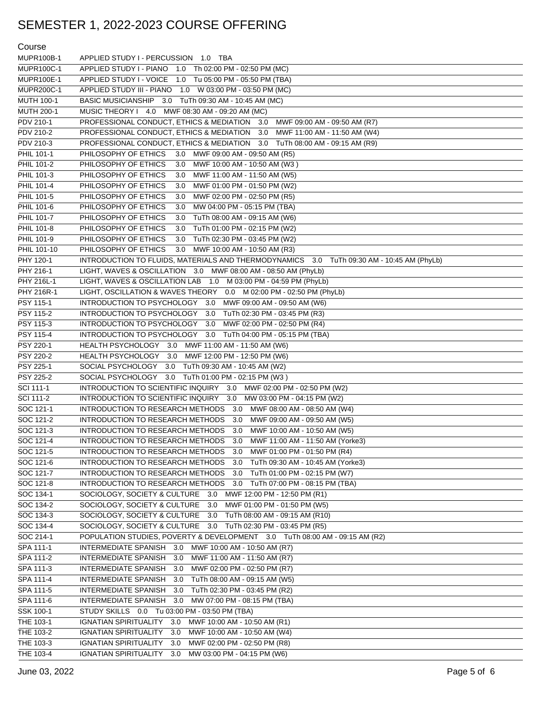| Course                 |                                                                                                                                               |
|------------------------|-----------------------------------------------------------------------------------------------------------------------------------------------|
| MUPR100B-1             | APPLIED STUDY I - PERCUSSION 1.0 TBA                                                                                                          |
| <b>MUPR100C-1</b>      | APPLIED STUDY I - PIANO 1.0 Th 02:00 PM - 02:50 PM (MC)                                                                                       |
| <b>MUPR100E-1</b>      | APPLIED STUDY I - VOICE 1.0 Tu 05:00 PM - 05:50 PM (TBA)                                                                                      |
| <b>MUPR200C-1</b>      | APPLIED STUDY III - PIANO 1.0 W 03:00 PM - 03:50 PM (MC)                                                                                      |
| <b>MUTH 100-1</b>      | BASIC MUSICIANSHIP 3.0 TuTh 09:30 AM - 10:45 AM (MC)                                                                                          |
| <b>MUTH 200-1</b>      | MUSIC THEORY I 4.0 MWF 08:30 AM - 09:20 AM (MC)                                                                                               |
| PDV 210-1              | PROFESSIONAL CONDUCT, ETHICS & MEDIATION 3.0 MWF 09:00 AM - 09:50 AM (R7)                                                                     |
| PDV 210-2              | PROFESSIONAL CONDUCT, ETHICS & MEDIATION 3.0 MWF 11:00 AM - 11:50 AM (W4)                                                                     |
| PDV 210-3              | PROFESSIONAL CONDUCT, ETHICS & MEDIATION 3.0 TuTh 08:00 AM - 09:15 AM (R9)                                                                    |
| PHIL 101-1             | PHILOSOPHY OF ETHICS<br>3.0 MWF 09:00 AM - 09:50 AM (R5)                                                                                      |
| PHIL 101-2             | PHILOSOPHY OF ETHICS<br>MWF 10:00 AM - 10:50 AM (W3)<br>3.0                                                                                   |
| PHIL 101-3             | PHILOSOPHY OF ETHICS<br>3.0<br>MWF 11:00 AM - 11:50 AM (W5)                                                                                   |
| PHIL 101-4             | PHILOSOPHY OF ETHICS<br>MWF 01:00 PM - 01:50 PM (W2)<br>3.0                                                                                   |
| PHIL 101-5             | PHILOSOPHY OF ETHICS<br>3.0<br>MWF 02:00 PM - 02:50 PM (R5)                                                                                   |
| PHIL 101-6             | PHILOSOPHY OF ETHICS<br>3.0<br>MW 04:00 PM - 05:15 PM (TBA)                                                                                   |
| PHIL 101-7             | PHILOSOPHY OF ETHICS<br>3.0<br>TuTh 08:00 AM - 09:15 AM (W6)                                                                                  |
| PHIL 101-8             | PHILOSOPHY OF ETHICS<br>3.0<br>TuTh 01:00 PM - 02:15 PM (W2)                                                                                  |
| PHIL 101-9             | PHILOSOPHY OF ETHICS<br>3.0<br>TuTh 02:30 PM - 03:45 PM (W2)                                                                                  |
| PHIL 101-10            | PHILOSOPHY OF ETHICS<br>3.0 MWF 10:00 AM - 10:50 AM (R3)                                                                                      |
| PHY 120-1              | INTRODUCTION TO FLUIDS, MATERIALS AND THERMODYNAMICS 3.0 TuTh 09:30 AM - 10:45 AM (PhyLb)                                                     |
| PHY 216-1              | LIGHT, WAVES & OSCILLATION 3.0 MWF 08:00 AM - 08:50 AM (PhyLb)                                                                                |
| PHY 216L-1             | LIGHT, WAVES & OSCILLATION LAB 1.0 M 03:00 PM - 04:59 PM (PhyLb)                                                                              |
| PHY 216R-1             | LIGHT, OSCILLATION & WAVES THEORY 0.0 M 02:00 PM - 02:50 PM (PhyLb)                                                                           |
| PSY 115-1              | INTRODUCTION TO PSYCHOLOGY 3.0 MWF 09:00 AM - 09:50 AM (W6)                                                                                   |
| PSY 115-2              | INTRODUCTION TO PSYCHOLOGY 3.0 TuTh 02:30 PM - 03:45 PM (R3)                                                                                  |
| PSY 115-3              | INTRODUCTION TO PSYCHOLOGY 3.0 MWF 02:00 PM - 02:50 PM (R4)                                                                                   |
| PSY 115-4              | INTRODUCTION TO PSYCHOLOGY 3.0 TuTh 04:00 PM - 05:15 PM (TBA)                                                                                 |
| PSY 220-1              | HEALTH PSYCHOLOGY 3.0 MWF 11:00 AM - 11:50 AM (W6)                                                                                            |
| PSY 220-2              | HEALTH PSYCHOLOGY 3.0 MWF 12:00 PM - 12:50 PM (W6)                                                                                            |
| PSY 225-1              | SOCIAL PSYCHOLOGY 3.0 TuTh 09:30 AM - 10:45 AM (W2)                                                                                           |
| PSY 225-2              | SOCIAL PSYCHOLOGY 3.0 TuTh 01:00 PM - 02:15 PM (W3)                                                                                           |
| SCI 111-1              | INTRODUCTION TO SCIENTIFIC INQUIRY 3.0 MWF 02:00 PM - 02:50 PM (W2)                                                                           |
| SCI 111-2              | INTRODUCTION TO SCIENTIFIC INQUIRY 3.0<br>MW 03:00 PM - 04:15 PM (W2)                                                                         |
| SOC 121-1              | INTRODUCTION TO RESEARCH METHODS 3.0 MWF 08:00 AM - 08:50 AM (W4)                                                                             |
| SOC 121-2              | INTRODUCTION TO RESEARCH METHODS<br>3.0 MWF 09:00 AM - 09:50 AM (W5)                                                                          |
| SOC 121-3              | INTRODUCTION TO RESEARCH METHODS 3.0 MWF 10:00 AM - 10:50 AM (W5)                                                                             |
| SOC 121-4              | INTRODUCTION TO RESEARCH METHODS<br>3.0 MWF 11:00 AM - 11:50 AM (Yorke3)                                                                      |
| SOC 121-5              | INTRODUCTION TO RESEARCH METHODS<br>3.0<br>MWF 01:00 PM - 01:50 PM (R4)                                                                       |
| SOC 121-6              | INTRODUCTION TO RESEARCH METHODS<br>3.0 TuTh 09:30 AM - 10:45 AM (Yorke3)                                                                     |
| SOC 121-7              | INTRODUCTION TO RESEARCH METHODS<br>3.0 TuTh 01:00 PM - 02:15 PM (W7)                                                                         |
| SOC 121-8              | INTRODUCTION TO RESEARCH METHODS 3.0 TuTh 07:00 PM - 08:15 PM (TBA)                                                                           |
| SOC 134-1              | SOCIOLOGY, SOCIETY & CULTURE 3.0 MWF 12:00 PM - 12:50 PM (R1)                                                                                 |
| SOC 134-2              | SOCIOLOGY, SOCIETY & CULTURE 3.0<br>MWF 01:00 PM - 01:50 PM (W5)<br>SOCIOLOGY, SOCIETY & CULTURE 3.0                                          |
| SOC 134-3<br>SOC 134-4 | TuTh 08:00 AM - 09:15 AM (R10)                                                                                                                |
| SOC 214-1              | SOCIOLOGY, SOCIETY & CULTURE 3.0 TuTh 02:30 PM - 03:45 PM (R5)<br>POPULATION STUDIES, POVERTY & DEVELOPMENT 3.0 TuTh 08:00 AM - 09:15 AM (R2) |
| SPA 111-1              | INTERMEDIATE SPANISH 3.0 MWF 10:00 AM - 10:50 AM (R7)                                                                                         |
| SPA 111-2              | <b>INTERMEDIATE SPANISH</b><br>3.0<br>MWF 11:00 AM - 11:50 AM (R7)                                                                            |
| SPA 111-3              | <b>INTERMEDIATE SPANISH</b><br>MWF 02:00 PM - 02:50 PM (R7)<br>3.0                                                                            |
| SPA 111-4              | <b>INTERMEDIATE SPANISH</b><br>TuTh 08:00 AM - 09:15 AM (W5)<br>3.0                                                                           |
| SPA 111-5              | <b>INTERMEDIATE SPANISH</b><br>3.0<br>TuTh 02:30 PM - 03:45 PM (R2)                                                                           |
| SPA 111-6              | <b>INTERMEDIATE SPANISH</b><br>MW 07:00 PM - 08:15 PM (TBA)<br>3.0                                                                            |
| SSK 100-1              | STUDY SKILLS  0.0  Tu 03:00 PM - 03:50 PM (TBA)                                                                                               |
| THE 103-1              | <b>IGNATIAN SPIRITUALITY</b><br>3.0<br>MWF 10:00 AM - 10:50 AM (R1)                                                                           |
| THE 103-2              | <b>IGNATIAN SPIRITUALITY</b><br>3.0<br>MWF 10:00 AM - 10:50 AM (W4)                                                                           |
| THE 103-3              | <b>IGNATIAN SPIRITUALITY</b><br>MWF 02:00 PM - 02:50 PM (R8)<br>3.0                                                                           |
| THE 103-4              | IGNATIAN SPIRITUALITY 3.0<br>MW 03:00 PM - 04:15 PM (W6)                                                                                      |